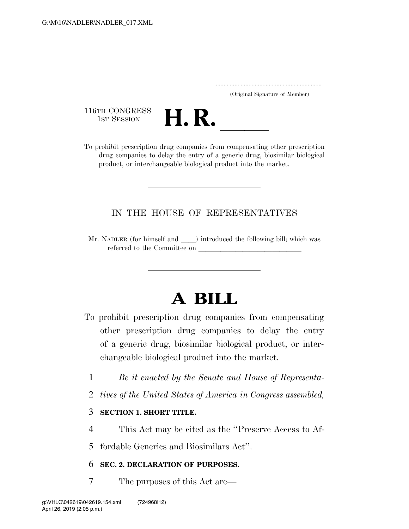..................................................................... (Original Signature of Member)

116TH CONGRESS<br>1st Session



116TH CONGRESS<br>
1ST SESSION<br>
To prohibit prescription drug companies from compensating other prescription drug companies to delay the entry of a generic drug, biosimilar biological product, or interchangeable biological product into the market.

# IN THE HOUSE OF REPRESENTATIVES

Mr. NADLER (for himself and ) introduced the following bill; which was referred to the Committee on

# **A BILL**

- To prohibit prescription drug companies from compensating other prescription drug companies to delay the entry of a generic drug, biosimilar biological product, or interchangeable biological product into the market.
	- 1 *Be it enacted by the Senate and House of Representa-*
	- 2 *tives of the United States of America in Congress assembled,*

# 3 **SECTION 1. SHORT TITLE.**

- 4 This Act may be cited as the ''Preserve Access to Af-
- 5 fordable Generics and Biosimilars Act''.

# 6 **SEC. 2. DECLARATION OF PURPOSES.**

7 The purposes of this Act are—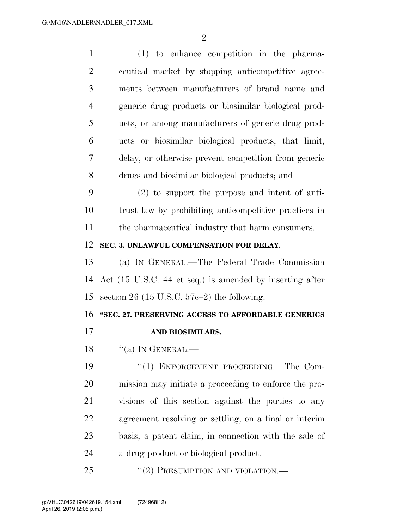| $\mathbf{1}$   | $(1)$ to enhance competition in the pharma-              |
|----------------|----------------------------------------------------------|
| $\overline{2}$ | ceutical market by stopping anticompetitive agree-       |
| 3              | ments between manufacturers of brand name and            |
| $\overline{4}$ | generic drug products or biosimilar biological prod-     |
| 5              | ucts, or among manufacturers of generic drug prod-       |
| 6              | ucts or biosimilar biological products, that limit,      |
| 7              | delay, or otherwise prevent competition from generic     |
| 8              | drugs and biosimilar biological products; and            |
| 9              | $(2)$ to support the purpose and intent of anti-         |
| 10             | trust law by prohibiting anticompetitive practices in    |
| 11             | the pharmaceutical industry that harm consumers.         |
| 12             | SEC. 3. UNLAWFUL COMPENSATION FOR DELAY.                 |
| 13             | (a) IN GENERAL.—The Federal Trade Commission             |
| 14             | Act (15 U.S.C. 44 et seq.) is amended by inserting after |
| 15             | section 26 (15 U.S.C. $57c-2$ ) the following:           |
| 16             | "SEC. 27. PRESERVING ACCESS TO AFFORDABLE GENERICS       |
| 17             | AND BIOSIMILARS.                                         |
| 18             | $``(a)$ In GENERAL.                                      |
| 19             | "(1) ENFORCEMENT PROCEEDING.—The Com-                    |
| 20             | mission may initiate a proceeding to enforce the pro-    |
| 21             | visions of this section against the parties to any       |
| 22             | agreement resolving or settling, on a final or interim   |
| 23             | basis, a patent claim, in connection with the sale of    |
| 24             | a drug product or biological product.                    |
| 25             | "(2) PRESUMPTION AND VIOLATION.—                         |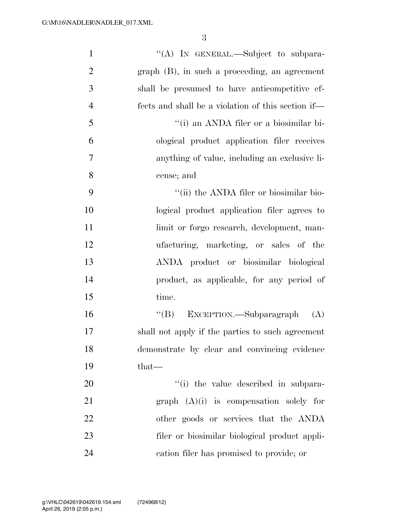| $\mathbf{1}$   | "(A) IN GENERAL.—Subject to subpara-               |
|----------------|----------------------------------------------------|
| $\overline{2}$ | $graph$ (B), in such a proceeding, an agreement    |
| 3              | shall be presumed to have anticompetitive ef-      |
| $\overline{4}$ | fects and shall be a violation of this section if— |
| 5              | "(i) an ANDA filer or a biosimilar bi-             |
| 6              | ological product application filer receives        |
| 7              | anything of value, including an exclusive li-      |
| 8              | cense; and                                         |
| 9              | "(ii) the ANDA filer or biosimilar bio-            |
| 10             | logical product application filer agrees to        |
| 11             | limit or forgo research, development, man-         |
| 12             | ufacturing, marketing, or sales of the             |
| 13             | ANDA product or biosimilar biological              |
| 14             | product, as applicable, for any period of          |
| 15             | time.                                              |
| 16             | EXCEPTION.—Subparagraph<br>$\lq\lq (B)$<br>(A)     |
| $17\,$         | shall not apply if the parties to such agreement   |
| 18             | demonstrate by clear and convincing evidence       |
| 19             | $that$ —                                           |
| 20             | "(i) the value described in subpara-               |
| 21             | graph $(A)(i)$ is compensation solely for          |
| 22             | other goods or services that the ANDA              |
| 23             | filer or biosimilar biological product appli-      |
| 24             | cation filer has promised to provide; or           |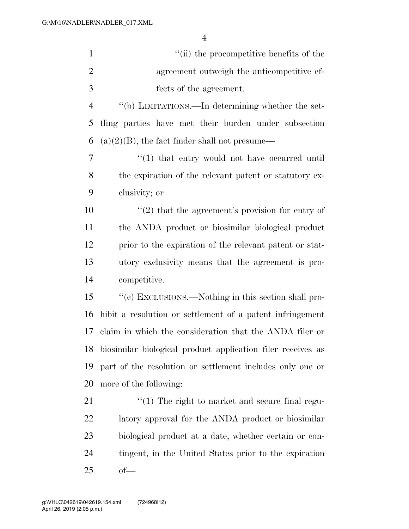| $\mathbf{1}$   | "(ii) the procompetitive benefits of the                       |
|----------------|----------------------------------------------------------------|
| $\overline{2}$ | agreement outweigh the anticompetitive ef-                     |
| 3              | fects of the agreement.                                        |
| $\overline{4}$ | "(b) LIMITATIONS.—In determining whether the set-              |
| 5              | tling parties have met their burden under subsection           |
| 6              | $(a)(2)(B)$ , the fact finder shall not presume—               |
| 7              | $\cdot$ (1) that entry would not have occurred until           |
| 8              | the expiration of the relevant patent or statutory ex-         |
| 9              | clusivity; or                                                  |
| 10             | $\cdot\cdot(2)$ that the agreement's provision for entry of    |
| 11             | the ANDA product or biosimilar biological product              |
| 12             | prior to the expiration of the relevant patent or stat-        |
| 13             | utory exclusivity means that the agreement is pro-             |
| 14             | competitive.                                                   |
| 15             | "(c) EXCLUSIONS.—Nothing in this section shall pro-            |
| 16             | hibit a resolution or settlement of a patent infringement      |
| 17             | claim in which the consideration that the ANDA filer or        |
|                | 18 biosimilar biological product application filer receives as |
| 19             | part of the resolution or settlement includes only one or      |
| 20             | more of the following:                                         |
| 21             | $\lq(1)$ The right to market and secure final regu-            |
| 22             | latory approval for the ANDA product or biosimilar             |
| 23             | biological product at a date, whether certain or con-          |
| 24             | tingent, in the United States prior to the expiration          |
| 25             | $of$ —                                                         |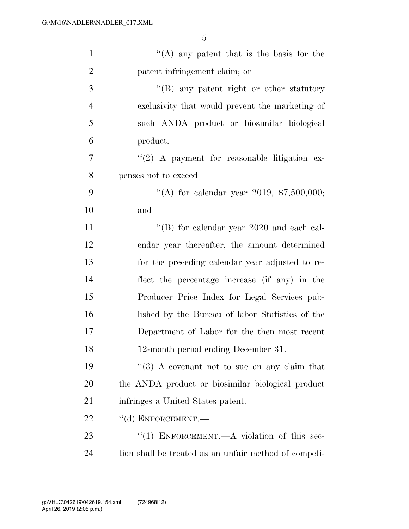| $\mathbf{1}$   | "(A) any patent that is the basis for the             |
|----------------|-------------------------------------------------------|
| $\overline{2}$ | patent infringement claim; or                         |
| 3              | "(B) any patent right or other statutory              |
| $\overline{4}$ | exclusivity that would prevent the marketing of       |
| 5              | such ANDA product or biosimilar biological            |
| 6              | product.                                              |
| 7              | $\lq(2)$ A payment for reasonable litigation ex-      |
| 8              | penses not to exceed—                                 |
| 9              | "(A) for calendar year 2019, $$7,500,000;$            |
| 10             | and                                                   |
| 11             | $\lq\lq$ for calendar year 2020 and each cal-         |
| 12             | endar year thereafter, the amount determined          |
| 13             | for the preceding calendar year adjusted to re-       |
| 14             | flect the percentage increase (if any) in the         |
| 15             | Producer Price Index for Legal Services pub-          |
| 16             | lished by the Bureau of labor Statistics of the       |
| 17             | Department of Labor for the then most recent          |
| 18             | 12-month period ending December 31.                   |
| 19             | $\cdot$ (3) A covenant not to sue on any claim that   |
| 20             | the ANDA product or biosimilar biological product     |
| 21             | infringes a United States patent.                     |
| 22             | $``$ (d) ENFORCEMENT.—                                |
| 23             | "(1) ENFORCEMENT.—A violation of this sec-            |
| 24             | tion shall be treated as an unfair method of competi- |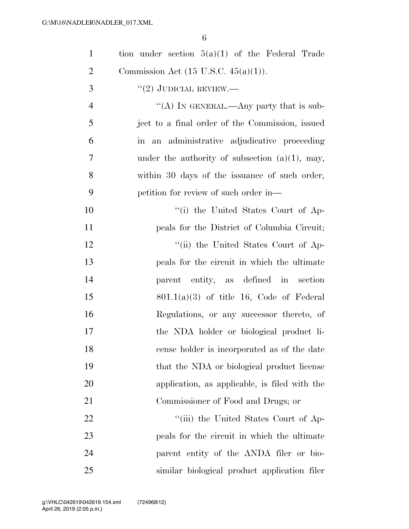| $\mathbf{1}$   | tion under section $5(a)(1)$ of the Federal Trade |
|----------------|---------------------------------------------------|
| $\overline{2}$ | Commission Act $(15 \text{ U.S.C. } 45(a)(1)).$   |
| 3              | $``(2)$ JUDICIAL REVIEW.—                         |
| $\overline{4}$ | "(A) IN GENERAL.—Any party that is sub-           |
| 5              | ject to a final order of the Commission, issued   |
| 6              | in an administrative adjudicative proceeding      |
| $\overline{7}$ | under the authority of subsection $(a)(1)$ , may, |
| 8              | within 30 days of the issuance of such order,     |
| 9              | petition for review of such order in—             |
| 10             | "(i) the United States Court of Ap-               |
| 11             | peals for the District of Columbia Circuit;       |
| 12             | "(ii) the United States Court of Ap-              |
| 13             | peals for the circuit in which the ultimate       |
| 14             | parent entity, as defined in section              |
| 15             | $801.1(a)(3)$ of title 16, Code of Federal        |
| 16             | Regulations, or any successor thereto, of         |
| 17             | the NDA holder or biological product li-          |
| 18             | cense holder is incorporated as of the date       |
| 19             | that the NDA or biological product license        |
| 20             | application, as applicable, is filed with the     |
| 21             | Commissioner of Food and Drugs; or                |
| 22             | "(iii) the United States Court of Ap-             |
| 23             | peals for the circuit in which the ultimate       |
| 24             | parent entity of the ANDA filer or bio-           |
| 25             | similar biological product application filer      |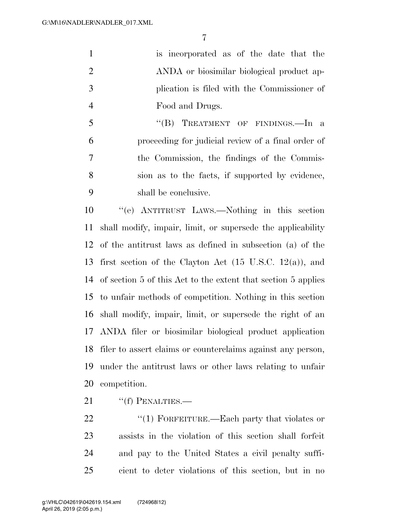is incorporated as of the date that the ANDA or biosimilar biological product ap- plication is filed with the Commissioner of Food and Drugs.

5 "(B) TREATMENT OF FINDINGS.—In a proceeding for judicial review of a final order of the Commission, the findings of the Commis- sion as to the facts, if supported by evidence, shall be conclusive.

 ''(e) ANTITRUST LAWS.—Nothing in this section shall modify, impair, limit, or supersede the applicability of the antitrust laws as defined in subsection (a) of the first section of the Clayton Act (15 U.S.C. 12(a)), and of section 5 of this Act to the extent that section 5 applies to unfair methods of competition. Nothing in this section shall modify, impair, limit, or supersede the right of an ANDA filer or biosimilar biological product application filer to assert claims or counterclaims against any person, under the antitrust laws or other laws relating to unfair competition.

21 "(f) PENALTIES.—

22 "(1) FORFEITURE.—Each party that violates or assists in the violation of this section shall forfeit and pay to the United States a civil penalty suffi-cient to deter violations of this section, but in no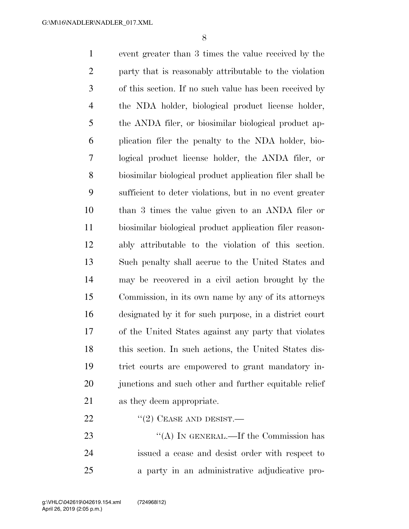event greater than 3 times the value received by the party that is reasonably attributable to the violation of this section. If no such value has been received by the NDA holder, biological product license holder, the ANDA filer, or biosimilar biological product ap- plication filer the penalty to the NDA holder, bio- logical product license holder, the ANDA filer, or biosimilar biological product application filer shall be sufficient to deter violations, but in no event greater than 3 times the value given to an ANDA filer or biosimilar biological product application filer reason- ably attributable to the violation of this section. Such penalty shall accrue to the United States and may be recovered in a civil action brought by the Commission, in its own name by any of its attorneys designated by it for such purpose, in a district court of the United States against any party that violates this section. In such actions, the United States dis- trict courts are empowered to grant mandatory in-20 junctions and such other and further equitable relief as they deem appropriate.  $"$ (2) CEASE AND DESIST.—

23 "(A) IN GENERAL.—If the Commission has issued a cease and desist order with respect to a party in an administrative adjudicative pro-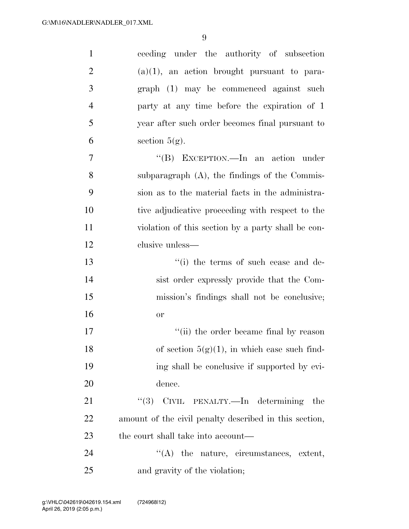| $\mathbf{1}$   | ceeding under the authority of subsection              |
|----------------|--------------------------------------------------------|
| $\overline{2}$ | $(a)(1)$ , an action brought pursuant to para-         |
| 3              | graph (1) may be commenced against such                |
| $\overline{4}$ | party at any time before the expiration of 1           |
| 5              | year after such order becomes final pursuant to        |
| 6              | section $5(g)$ .                                       |
| $\overline{7}$ | "(B) EXCEPTION.—In an action under                     |
| 8              | subparagraph (A), the findings of the Commis-          |
| 9              | sion as to the material facts in the administra-       |
| 10             | tive adjudicative proceeding with respect to the       |
| 11             | violation of this section by a party shall be con-     |
| 12             | clusive unless—                                        |
| 13             | "(i) the terms of such cease and de-                   |
| 14             | sist order expressly provide that the Com-             |
| 15             | mission's findings shall not be conclusive;            |
| 16             | <b>or</b>                                              |
| 17             | "(ii) the order became final by reason                 |
| 18             | of section $5(g)(1)$ , in which case such find-        |
| 19             | ing shall be conclusive if supported by evi-           |
| 20             | dence.                                                 |
| 21             | "(3) CIVIL PENALTY.—In determining the                 |
| 22             | amount of the civil penalty described in this section, |
| 23             | the court shall take into account—                     |
| 24             | $\lq\lq$ the nature, circumstances, extent,            |
| 25             | and gravity of the violation;                          |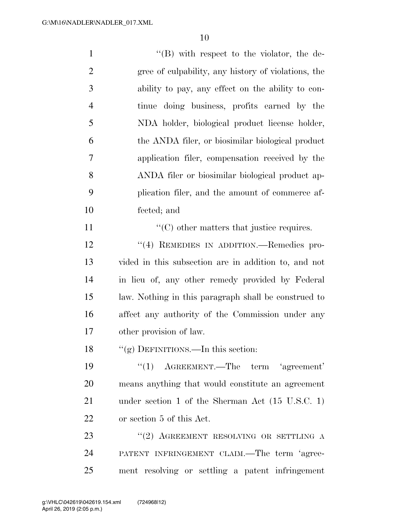| $\mathbf{1}$   | $\lq\lq (B)$ with respect to the violator, the de-         |
|----------------|------------------------------------------------------------|
| $\overline{2}$ | gree of culpability, any history of violations, the        |
| 3              | ability to pay, any effect on the ability to con-          |
| $\overline{4}$ | tinue doing business, profits earned by the                |
| 5              | NDA holder, biological product license holder,             |
| 6              | the ANDA filer, or biosimilar biological product           |
| 7              | application filer, compensation received by the            |
| 8              | ANDA filer or biosimilar biological product ap-            |
| 9              | plication filer, and the amount of commerce af-            |
| 10             | fected; and                                                |
| 11             | $\lq\lq$ other matters that justice requires.              |
| 12             | "(4) REMEDIES IN ADDITION.—Remedies pro-                   |
| 13             | vided in this subsection are in addition to, and not       |
| 14             | in lieu of, any other remedy provided by Federal           |
| 15             | law. Nothing in this paragraph shall be construed to       |
| 16             | affect any authority of the Commission under any           |
| 17             | other provision of law.                                    |
| 18             | "(g) DEFINITIONS.—In this section:                         |
| 19             | $f'(1)$ AGREEMENT.—The term 'agreement'                    |
| 20             | means anything that would constitute an agreement          |
| 21             | under section 1 of the Sherman Act $(15 \text{ U.S.C. 1})$ |
| 22             | or section 5 of this Act.                                  |
| 23             | "(2) AGREEMENT RESOLVING OR SETTLING A                     |
| 24             | PATENT INFRINGEMENT CLAIM.—The term 'agree-                |

ment resolving or settling a patent infringement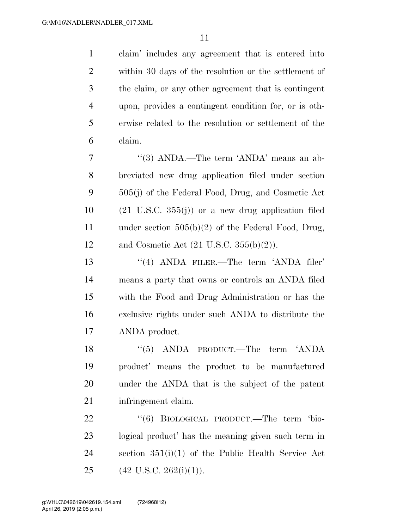claim' includes any agreement that is entered into within 30 days of the resolution or the settlement of the claim, or any other agreement that is contingent upon, provides a contingent condition for, or is oth- erwise related to the resolution or settlement of the claim.

 ''(3) ANDA.—The term 'ANDA' means an ab- breviated new drug application filed under section 505(j) of the Federal Food, Drug, and Cosmetic Act  $10 \qquad (21 \text{ U.S.C. } 355(j))$  or a new drug application filed under section 505(b)(2) of the Federal Food, Drug, 12 and Cosmetic Act  $(21 \text{ U.S.C. } 355(b)(2))$ .

13 ''(4) ANDA FILER.—The term 'ANDA filer' means a party that owns or controls an ANDA filed with the Food and Drug Administration or has the exclusive rights under such ANDA to distribute the ANDA product.

18 ''(5) ANDA PRODUCT.—The term 'ANDA product' means the product to be manufactured under the ANDA that is the subject of the patent infringement claim.

22 "(6) BIOLOGICAL PRODUCT.—The term 'bio- logical product' has the meaning given such term in section 351(i)(1) of the Public Health Service Act 25 (42 U.S.C. 262(i)(1)).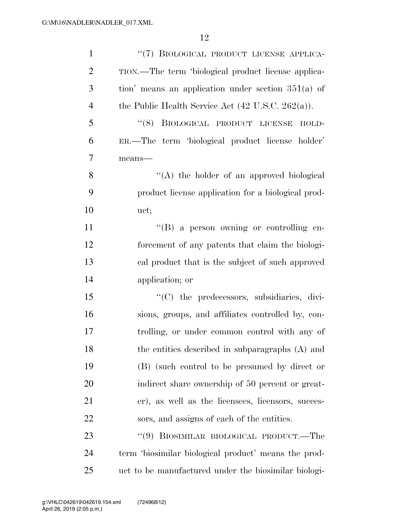| $\mathbf{1}$   | "(7) BIOLOGICAL PRODUCT LICENSE APPLICA-                      |
|----------------|---------------------------------------------------------------|
| $\overline{2}$ | TION.—The term 'biological product license applica-           |
| 3              | tion' means an application under section $351(a)$ of          |
| $\overline{4}$ | the Public Health Service Act $(42 \text{ U.S.C. } 262(a))$ . |
| 5              | (8)<br>BIOLOGICAL PRODUCT LICENSE<br>HOLD-                    |
| 6              | ER.—The term 'biological product license holder'              |
| $\overline{7}$ | means-                                                        |
| 8              | "(A) the holder of an approved biological                     |
| 9              | product license application for a biological prod-            |
| 10             | uct;                                                          |
| 11             | "(B) a person owning or controlling en-                       |
| 12             | forcement of any patents that claim the biologi-              |
| 13             | cal product that is the subject of such approved              |
| 14             | application; or                                               |
| 15             | "(C) the predecessors, subsidiaries, divi-                    |
| 16             | sions, groups, and affiliates controlled by, con-             |
| 17             | trolling, or under common control with any of                 |
| 18             | the entities described in subparagraphs (A) and               |
| 19             | (B) (such control to be presumed by direct or                 |
| 20             | indirect share ownership of 50 percent or great-              |
| 21             | er), as well as the licensees, licensors, succes-             |
| 22             | sors, and assigns of each of the entities.                    |
| 23             | "(9) BIOSIMILAR BIOLOGICAL PRODUCT.—The                       |
| 24             | term 'biosimilar biological product' means the prod-          |
| 25             | uct to be manufactured under the biosimilar biologi-          |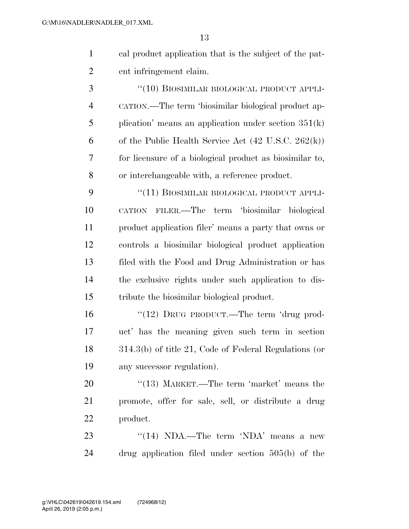cal product application that is the subject of the pat-ent infringement claim.

3 "(10) BIOSIMILAR BIOLOGICAL PRODUCT APPLI- CATION.—The term 'biosimilar biological product ap- plication' means an application under section 351(k) 6 of the Public Health Service Act  $(42 \text{ U.S.C. } 262(\text{k}))$  for licensure of a biological product as biosimilar to, or interchangeable with, a reference product.

9 "(11) BIOSIMILAR BIOLOGICAL PRODUCT APPLI- CATION FILER.—The term 'biosimilar biological product application filer' means a party that owns or controls a biosimilar biological product application filed with the Food and Drug Administration or has the exclusive rights under such application to dis-tribute the biosimilar biological product.

16 "(12) DRUG PRODUCT.—The term 'drug prod- uct' has the meaning given such term in section 314.3(b) of title 21, Code of Federal Regulations (or any successor regulation).

20 "(13) MARKET.—The term 'market' means the promote, offer for sale, sell, or distribute a drug product.

23 ''(14) NDA.—The term 'NDA' means a new drug application filed under section 505(b) of the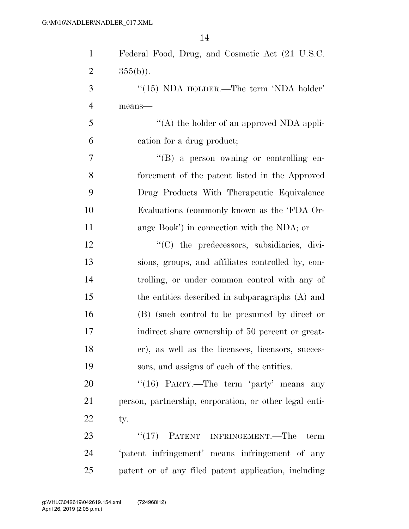| $\mathbf{1}$   | Federal Food, Drug, and Cosmetic Act (21 U.S.C.        |
|----------------|--------------------------------------------------------|
| $\overline{2}$ | $355(b)$ ).                                            |
| 3              | " $(15)$ NDA HOLDER.—The term 'NDA holder'             |
| $\overline{4}$ | means-                                                 |
| 5              | "(A) the holder of an approved NDA appli-              |
| 6              | cation for a drug product;                             |
| 7              | "(B) a person owning or controlling en-                |
| 8              | forcement of the patent listed in the Approved         |
| 9              | Drug Products With Therapeutic Equivalence             |
| 10             | Evaluations (commonly known as the 'FDA Or-            |
| 11             | ange Book') in connection with the NDA; or             |
| 12             | $\lq\lq$ the predecessors, subsidiaries, divi-         |
| 13             | sions, groups, and affiliates controlled by, con-      |
| 14             | trolling, or under common control with any of          |
| 15             | the entities described in subparagraphs (A) and        |
| 16             | (B) (such control to be presumed by direct or          |
| 17             | indirect share ownership of 50 percent or great-       |
| 18             | er), as well as the licensees, licensors, succes-      |
| 19             | sors, and assigns of each of the entities.             |
| 20             | " $(16)$ PARTY.—The term 'party' means any             |
| 21             | person, partnership, corporation, or other legal enti- |
| 22             | ty.                                                    |
| 23             | $``(17)$ PATENT INFRINGEMENT.—The<br>term              |
| 24             | 'patent infringement' means infringement of any        |
| 25             | patent or of any filed patent application, including   |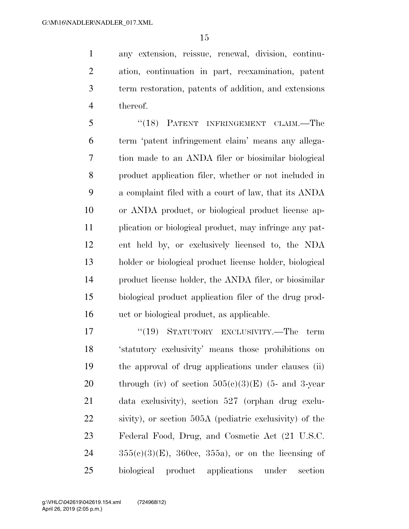any extension, reissue, renewal, division, continu- ation, continuation in part, reexamination, patent term restoration, patents of addition, and extensions thereof.

 ''(18) PATENT INFRINGEMENT CLAIM.—The term 'patent infringement claim' means any allega- tion made to an ANDA filer or biosimilar biological product application filer, whether or not included in a complaint filed with a court of law, that its ANDA or ANDA product, or biological product license ap- plication or biological product, may infringe any pat- ent held by, or exclusively licensed to, the NDA holder or biological product license holder, biological product license holder, the ANDA filer, or biosimilar biological product application filer of the drug prod-uct or biological product, as applicable.

17 "(19) STATUTORY EXCLUSIVITY.—The term 'statutory exclusivity' means those prohibitions on the approval of drug applications under clauses (ii) 20 through (iv) of section  $505(c)(3)(E)$  (5- and 3-year data exclusivity), section 527 (orphan drug exclu- sivity), or section 505A (pediatric exclusivity) of the Federal Food, Drug, and Cosmetic Act (21 U.S.C.  $24 \t 355(e)(3)$ (E), 360cc, 355a), or on the licensing of biological product applications under section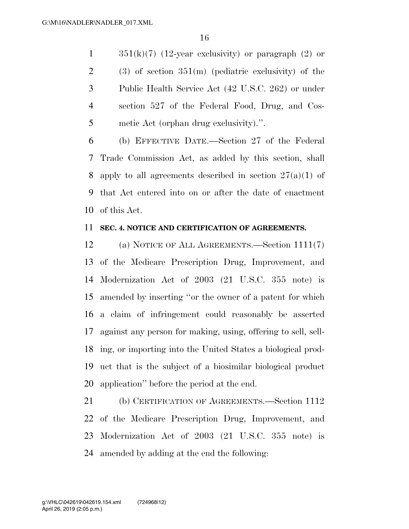$351(k)(7)$  (12-year exclusivity) or paragraph (2) or 2 (3) of section  $351(m)$  (pediatric exclusivity) of the Public Health Service Act (42 U.S.C. 262) or under section 527 of the Federal Food, Drug, and Cos-metic Act (orphan drug exclusivity).''.

 (b) EFFECTIVE DATE.—Section 27 of the Federal Trade Commission Act, as added by this section, shall 8 apply to all agreements described in section  $27(a)(1)$  of that Act entered into on or after the date of enactment of this Act.

## **SEC. 4. NOTICE AND CERTIFICATION OF AGREEMENTS.**

 (a) NOTICE OF ALL AGREEMENTS.—Section 1111(7) of the Medicare Prescription Drug, Improvement, and Modernization Act of 2003 (21 U.S.C. 355 note) is amended by inserting ''or the owner of a patent for which a claim of infringement could reasonably be asserted against any person for making, using, offering to sell, sell- ing, or importing into the United States a biological prod- uct that is the subject of a biosimilar biological product application'' before the period at the end.

 (b) CERTIFICATION OF AGREEMENTS.—Section 1112 of the Medicare Prescription Drug, Improvement, and Modernization Act of 2003 (21 U.S.C. 355 note) is amended by adding at the end the following: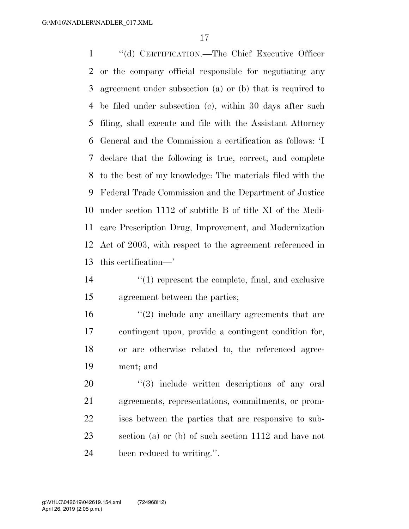''(d) CERTIFICATION.—The Chief Executive Officer or the company official responsible for negotiating any agreement under subsection (a) or (b) that is required to be filed under subsection (c), within 30 days after such filing, shall execute and file with the Assistant Attorney General and the Commission a certification as follows: 'I declare that the following is true, correct, and complete to the best of my knowledge: The materials filed with the Federal Trade Commission and the Department of Justice under section 1112 of subtitle B of title XI of the Medi- care Prescription Drug, Improvement, and Modernization Act of 2003, with respect to the agreement referenced in this certification—'

- 14  $\frac{1}{2}$  (1) represent the complete, final, and exclusive
- agreement between the parties;
- $\mathcal{L}(2)$  include any ancillary agreements that are contingent upon, provide a contingent condition for, or are otherwise related to, the referenced agree-ment; and

 $\frac{1}{20}$   $\frac{1}{20}$  include written descriptions of any oral agreements, representations, commitments, or prom- ises between the parties that are responsive to sub- section (a) or (b) of such section 1112 and have not been reduced to writing.''.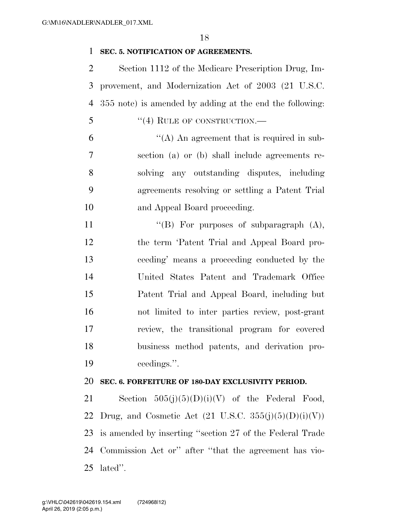# **SEC. 5. NOTIFICATION OF AGREEMENTS.**

 Section 1112 of the Medicare Prescription Drug, Im- provement, and Modernization Act of 2003 (21 U.S.C. 355 note) is amended by adding at the end the following: 5 "(4) RULE OF CONSTRUCTION.—  $\mathfrak{g}$   $\mathfrak{g}$   $\mathfrak{g}$  (A) An agreement that is required in sub- section (a) or (b) shall include agreements re- solving any outstanding disputes, including agreements resolving or settling a Patent Trial and Appeal Board proceeding.

 $"$ (B) For purposes of subparagraph  $(A)$ , the term 'Patent Trial and Appeal Board pro- ceeding' means a proceeding conducted by the United States Patent and Trademark Office Patent Trial and Appeal Board, including but not limited to inter parties review, post-grant review, the transitional program for covered business method patents, and derivation pro-ceedings.''.

#### **SEC. 6. FORFEITURE OF 180-DAY EXCLUSIVITY PERIOD.**

21 Section  $505(j)(5)(D)(i)(V)$  of the Federal Food, 22 Drug, and Cosmetic Act  $(21 \text{ U.S.C. } 355(i)(5)(D)(i)(V))$  is amended by inserting ''section 27 of the Federal Trade Commission Act or'' after ''that the agreement has vio-lated''.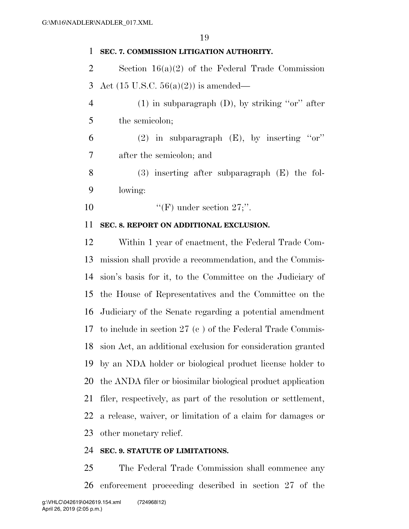## **SEC. 7. COMMISSION LITIGATION AUTHORITY.**

 Section 16(a)(2) of the Federal Trade Commission Act (15 U.S.C. 56(a)(2)) is amended—

 (1) in subparagraph (D), by striking ''or'' after the semicolon;

6 (2) in subparagraph  $(E)$ , by inserting "or" after the semicolon; and

 (3) inserting after subparagraph (E) the fol-lowing:

10  $"$ (F) under section 27;".

## **SEC. 8. REPORT ON ADDITIONAL EXCLUSION.**

 Within 1 year of enactment, the Federal Trade Com- mission shall provide a recommendation, and the Commis- sion's basis for it, to the Committee on the Judiciary of the House of Representatives and the Committee on the Judiciary of the Senate regarding a potential amendment to include in section 27 (c ) of the Federal Trade Commis- sion Act, an additional exclusion for consideration granted by an NDA holder or biological product license holder to the ANDA filer or biosimilar biological product application filer, respectively, as part of the resolution or settlement, a release, waiver, or limitation of a claim for damages or other monetary relief.

#### **SEC. 9. STATUTE OF LIMITATIONS.**

 The Federal Trade Commission shall commence any enforcement proceeding described in section 27 of the